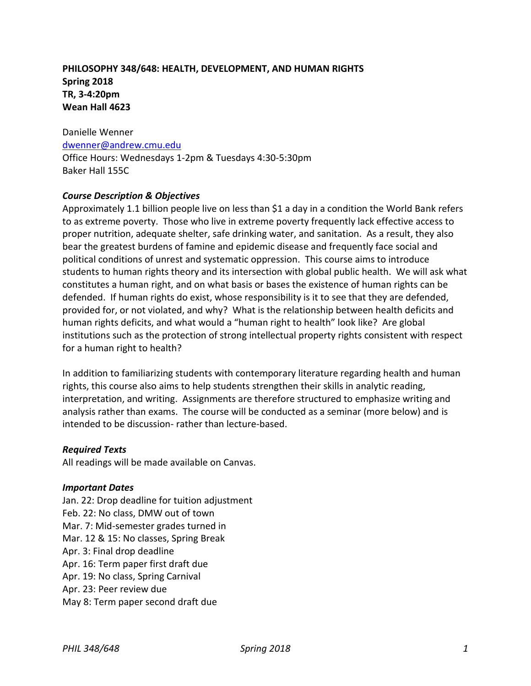# **PHILOSOPHY 348/648: HEALTH, DEVELOPMENT, AND HUMAN RIGHTS Spring 2018 TR, 3-4:20pm Wean Hall 4623**

Danielle Wenner [dwenner@andrew.cmu.edu](mailto:dwenner@andrew.cmu.edu) Office Hours: Wednesdays 1-2pm & Tuesdays 4:30-5:30pm Baker Hall 155C

### *Course Description & Objectives*

Approximately 1.1 billion people live on less than \$1 a day in a condition the World Bank refers to as extreme poverty. Those who live in extreme poverty frequently lack effective access to proper nutrition, adequate shelter, safe drinking water, and sanitation. As a result, they also bear the greatest burdens of famine and epidemic disease and frequently face social and political conditions of unrest and systematic oppression. This course aims to introduce students to human rights theory and its intersection with global public health. We will ask what constitutes a human right, and on what basis or bases the existence of human rights can be defended. If human rights do exist, whose responsibility is it to see that they are defended, provided for, or not violated, and why? What is the relationship between health deficits and human rights deficits, and what would a "human right to health" look like? Are global institutions such as the protection of strong intellectual property rights consistent with respect for a human right to health?

In addition to familiarizing students with contemporary literature regarding health and human rights, this course also aims to help students strengthen their skills in analytic reading, interpretation, and writing. Assignments are therefore structured to emphasize writing and analysis rather than exams. The course will be conducted as a seminar (more below) and is intended to be discussion- rather than lecture-based.

### *Required Texts*

All readings will be made available on Canvas.

#### *Important Dates*

Jan. 22: Drop deadline for tuition adjustment Feb. 22: No class, DMW out of town Mar. 7: Mid-semester grades turned in Mar. 12 & 15: No classes, Spring Break Apr. 3: Final drop deadline Apr. 16: Term paper first draft due Apr. 19: No class, Spring Carnival Apr. 23: Peer review due May 8: Term paper second draft due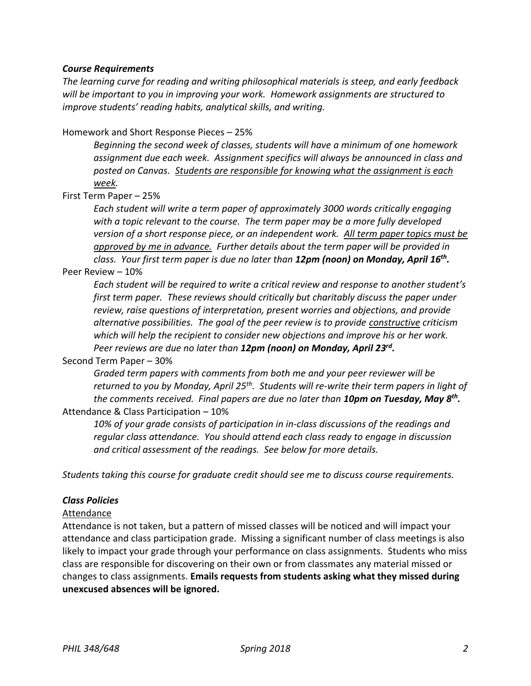### *Course Requirements*

*The learning curve for reading and writing philosophical materials is steep, and early feedback will be important to you in improving your work. Homework assignments are structured to improve students' reading habits, analytical skills, and writing.*

Homework and Short Response Pieces – 25%

*Beginning the second week of classes, students will have a minimum of one homework assignment due each week. Assignment specifics will always be announced in class and posted on Canvas. Students are responsible for knowing what the assignment is each week.* 

First Term Paper – 25%

*Each student will write a term paper of approximately 3000 words critically engaging with a topic relevant to the course. The term paper may be a more fully developed version of a short response piece, or an independent work. All term paper topics must be approved by me in advance. Further details about the term paper will be provided in class. Your first term paper is due no later than 12pm (noon) on Monday, April 16 th .*

#### Peer Review – 10%

*Each student will be required to write a critical review and response to another student's first term paper. These reviews should critically but charitably discuss the paper under review, raise questions of interpretation, present worries and objections, and provide alternative possibilities. The goal of the peer review is to provide constructive criticism which will help the recipient to consider new objections and improve his or her work. Peer reviews are due no later than 12pm (noon) on Monday, April 23rd .*

Second Term Paper – 30%

*Graded term papers with comments from both me and your peer reviewer will be returned to you by Monday, April 25th. Students will re-write their term papers in light of the comments received. Final papers are due no later than 10pm on Tuesday, May 8 th .* Attendance & Class Participation – 10%

*10% of your grade consists of participation in in-class discussions of the readings and regular class attendance. You should attend each class ready to engage in discussion and critical assessment of the readings. See below for more details.*

*Students taking this course for graduate credit should see me to discuss course requirements.*

### *Class Policies*

#### Attendance

Attendance is not taken, but a pattern of missed classes will be noticed and will impact your attendance and class participation grade. Missing a significant number of class meetings is also likely to impact your grade through your performance on class assignments. Students who miss class are responsible for discovering on their own or from classmates any material missed or changes to class assignments. **Emails requests from students asking what they missed during unexcused absences will be ignored.**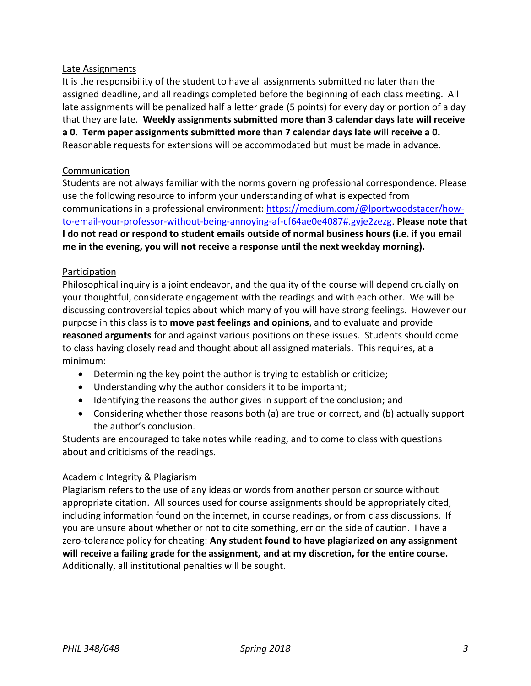# Late Assignments

It is the responsibility of the student to have all assignments submitted no later than the assigned deadline, and all readings completed before the beginning of each class meeting. All late assignments will be penalized half a letter grade (5 points) for every day or portion of a day that they are late. **Weekly assignments submitted more than 3 calendar days late will receive a 0. Term paper assignments submitted more than 7 calendar days late will receive a 0.**  Reasonable requests for extensions will be accommodated but must be made in advance.

# Communication

Students are not always familiar with the norms governing professional correspondence. Please use the following resource to inform your understanding of what is expected from communications in a professional environment: [https://medium.com/@lportwoodstacer/how](https://medium.com/@lportwoodstacer/how-to-email-your-professor-without-being-annoying-af-cf64ae0e4087#.gyje2zezg)[to-email-your-professor-without-being-annoying-af-cf64ae0e4087#.gyje2zezg.](https://medium.com/@lportwoodstacer/how-to-email-your-professor-without-being-annoying-af-cf64ae0e4087#.gyje2zezg) **Please note that I do not read or respond to student emails outside of normal business hours (i.e. if you email me in the evening, you will not receive a response until the next weekday morning).**

### Participation

Philosophical inquiry is a joint endeavor, and the quality of the course will depend crucially on your thoughtful, considerate engagement with the readings and with each other. We will be discussing controversial topics about which many of you will have strong feelings. However our purpose in this class is to **move past feelings and opinions**, and to evaluate and provide **reasoned arguments** for and against various positions on these issues. Students should come to class having closely read and thought about all assigned materials. This requires, at a minimum:

- Determining the key point the author is trying to establish or criticize;
- Understanding why the author considers it to be important;
- Identifying the reasons the author gives in support of the conclusion; and
- Considering whether those reasons both (a) are true or correct, and (b) actually support the author's conclusion.

Students are encouraged to take notes while reading, and to come to class with questions about and criticisms of the readings.

### Academic Integrity & Plagiarism

Plagiarism refers to the use of any ideas or words from another person or source without appropriate citation. All sources used for course assignments should be appropriately cited, including information found on the internet, in course readings, or from class discussions. If you are unsure about whether or not to cite something, err on the side of caution. I have a zero-tolerance policy for cheating: **Any student found to have plagiarized on any assignment will receive a failing grade for the assignment, and at my discretion, for the entire course.** Additionally, all institutional penalties will be sought.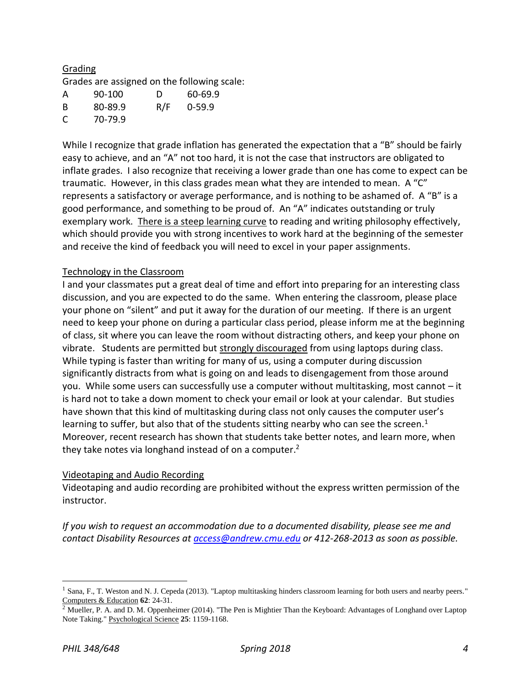# Grading

Grades are assigned on the following scale:

| A  | 90-100  | D   | 60-69.9    |
|----|---------|-----|------------|
| -B | 80-89.9 | R/F | $0 - 59.9$ |
| C  | 70-79.9 |     |            |

While I recognize that grade inflation has generated the expectation that a "B" should be fairly easy to achieve, and an "A" not too hard, it is not the case that instructors are obligated to inflate grades. I also recognize that receiving a lower grade than one has come to expect can be traumatic. However, in this class grades mean what they are intended to mean. A "C" represents a satisfactory or average performance, and is nothing to be ashamed of. A "B" is a good performance, and something to be proud of. An "A" indicates outstanding or truly exemplary work. There is a steep learning curve to reading and writing philosophy effectively, which should provide you with strong incentives to work hard at the beginning of the semester and receive the kind of feedback you will need to excel in your paper assignments.

# Technology in the Classroom

I and your classmates put a great deal of time and effort into preparing for an interesting class discussion, and you are expected to do the same. When entering the classroom, please place your phone on "silent" and put it away for the duration of our meeting. If there is an urgent need to keep your phone on during a particular class period, please inform me at the beginning of class, sit where you can leave the room without distracting others, and keep your phone on vibrate. Students are permitted but strongly discouraged from using laptops during class. While typing is faster than writing for many of us, using a computer during discussion significantly distracts from what is going on and leads to disengagement from those around you. While some users can successfully use a computer without multitasking, most cannot – it is hard not to take a down moment to check your email or look at your calendar. But studies have shown that this kind of multitasking during class not only causes the computer user's learning to suffer, but also that of the students sitting nearby who can see the screen.<sup>1</sup> Moreover, recent research has shown that students take better notes, and learn more, when they take notes via longhand instead of on a computer.<sup>2</sup>

### Videotaping and Audio Recording

Videotaping and audio recording are prohibited without the express written permission of the instructor.

*If you wish to request an accommodation due to a documented disability, please see me and contact Disability Resources at [access@andrew.cmu.edu](mailto:access@andrew.cmu.edu) or 412-268-2013 as soon as possible.*

 $\overline{a}$ 

<sup>&</sup>lt;sup>1</sup> Sana, F., T. Weston and N. J. Cepeda (2013). "Laptop multitasking hinders classroom learning for both users and nearby peers." Computers & Education **62**: 24-31.

 $\frac{2}{2}$  Mueller, P. A. and D. M. Oppenheimer (2014). "The Pen is Mightier Than the Keyboard: Advantages of Longhand over Laptop Note Taking." Psychological Science **25**: 1159-1168.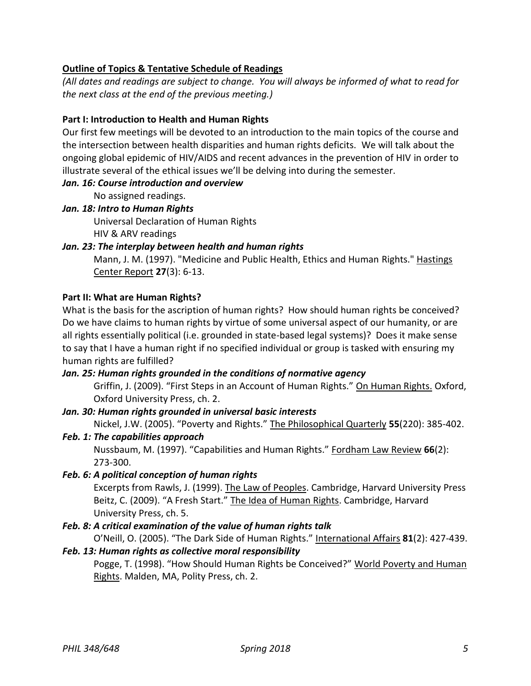# **Outline of Topics & Tentative Schedule of Readings**

*(All dates and readings are subject to change. You will always be informed of what to read for the next class at the end of the previous meeting.)*

# **Part I: Introduction to Health and Human Rights**

Our first few meetings will be devoted to an introduction to the main topics of the course and the intersection between health disparities and human rights deficits. We will talk about the ongoing global epidemic of HIV/AIDS and recent advances in the prevention of HIV in order to illustrate several of the ethical issues we'll be delving into during the semester.

### *Jan. 16: Course introduction and overview*

No assigned readings.

### *Jan. 18: Intro to Human Rights*

Universal Declaration of Human Rights HIV & ARV readings

### *Jan. 23: The interplay between health and human rights*

Mann, J. M. (1997). "Medicine and Public Health, Ethics and Human Rights." Hastings Center Report **27**(3): 6-13.

### **Part II: What are Human Rights?**

What is the basis for the ascription of human rights? How should human rights be conceived? Do we have claims to human rights by virtue of some universal aspect of our humanity, or are all rights essentially political (i.e. grounded in state-based legal systems)? Does it make sense to say that I have a human right if no specified individual or group is tasked with ensuring my human rights are fulfilled?

## *Jan. 25: Human rights grounded in the conditions of normative agency*

Griffin, J. (2009). "First Steps in an Account of Human Rights." On Human Rights. Oxford, Oxford University Press, ch. 2.

### *Jan. 30: Human rights grounded in universal basic interests*

Nickel, J.W. (2005). "Poverty and Rights." The Philosophical Quarterly **55**(220): 385-402.

### *Feb. 1: The capabilities approach*

Nussbaum, M. (1997). "Capabilities and Human Rights." Fordham Law Review **66**(2): 273-300.

### *Feb. 6: A political conception of human rights*

Excerpts from Rawls, J. (1999). The Law of Peoples. Cambridge, Harvard University Press Beitz, C. (2009). "A Fresh Start." The Idea of Human Rights. Cambridge, Harvard University Press, ch. 5.

### *Feb. 8: A critical examination of the value of human rights talk*

O'Neill, O. (2005). "The Dark Side of Human Rights." International Affairs **81**(2): 427-439.

### *Feb. 13: Human rights as collective moral responsibility*

Pogge, T. (1998). "How Should Human Rights be Conceived?" World Poverty and Human Rights. Malden, MA, Polity Press, ch. 2.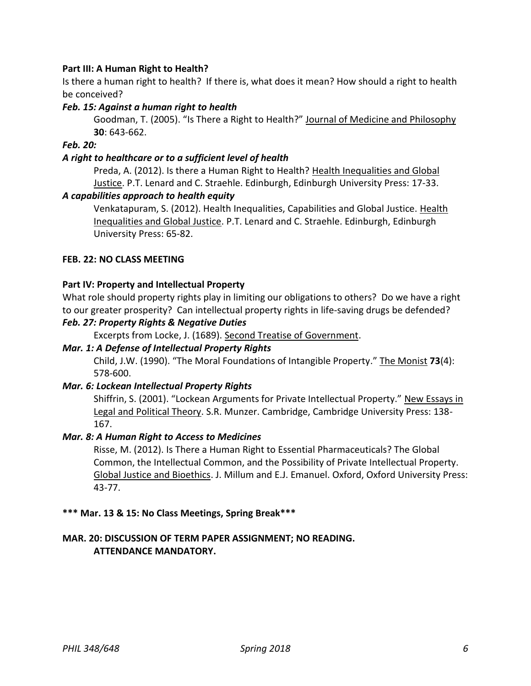# **Part III: A Human Right to Health?**

Is there a human right to health? If there is, what does it mean? How should a right to health be conceived?

# *Feb. 15: Against a human right to health*

Goodman, T. (2005). "Is There a Right to Health?" Journal of Medicine and Philosophy **30**: 643-662.

## *Feb. 20:*

## *A right to healthcare or to a sufficient level of health*

Preda, A. (2012). Is there a Human Right to Health? Health Inequalities and Global Justice. P.T. Lenard and C. Straehle. Edinburgh, Edinburgh University Press: 17-33.

### *A capabilities approach to health equity*

Venkatapuram, S. (2012). Health Inequalities, Capabilities and Global Justice. Health Inequalities and Global Justice. P.T. Lenard and C. Straehle. Edinburgh, Edinburgh University Press: 65-82.

### **FEB. 22: NO CLASS MEETING**

### **Part IV: Property and Intellectual Property**

What role should property rights play in limiting our obligations to others? Do we have a right to our greater prosperity? Can intellectual property rights in life-saving drugs be defended?

### *Feb. 27: Property Rights & Negative Duties*

Excerpts from Locke, J. (1689). Second Treatise of Government.

### *Mar. 1: A Defense of Intellectual Property Rights*

Child, J.W. (1990). "The Moral Foundations of Intangible Property." The Monist **73**(4): 578-600.

#### *Mar. 6: Lockean Intellectual Property Rights*

Shiffrin, S. (2001). "Lockean Arguments for Private Intellectual Property." New Essays in Legal and Political Theory. S.R. Munzer. Cambridge, Cambridge University Press: 138- 167.

### *Mar. 8: A Human Right to Access to Medicines*

Risse, M. (2012). Is There a Human Right to Essential Pharmaceuticals? The Global Common, the Intellectual Common, and the Possibility of Private Intellectual Property. Global Justice and Bioethics. J. Millum and E.J. Emanuel. Oxford, Oxford University Press: 43-77.

#### **\*\*\* Mar. 13 & 15: No Class Meetings, Spring Break\*\*\***

# **MAR. 20: DISCUSSION OF TERM PAPER ASSIGNMENT; NO READING. ATTENDANCE MANDATORY.**